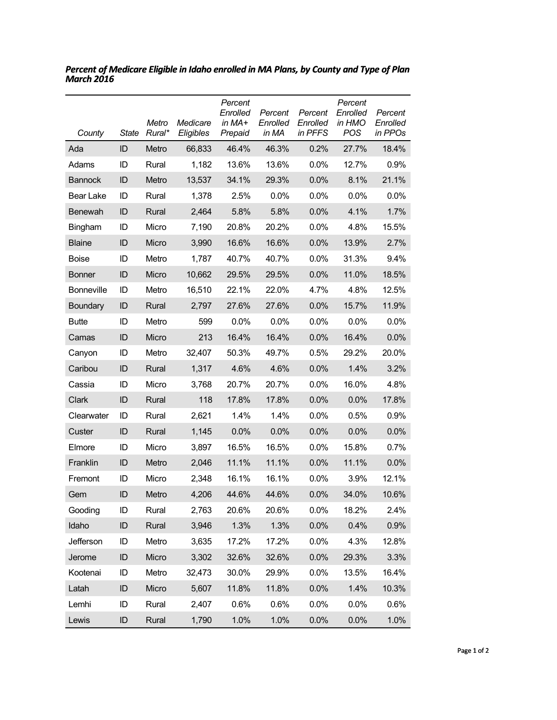| County            | State    | Metro<br>Rural* | Medicare<br>Eligibles | Percent<br>Enrolled<br>in $MA+$<br>Prepaid | Percent<br>Enrolled<br>in MA | Percent<br>Enrolled<br>in PFFS | Percent<br>Enrolled<br>in HMO<br>POS | Percent<br>Enrolled<br>in PPOs |
|-------------------|----------|-----------------|-----------------------|--------------------------------------------|------------------------------|--------------------------------|--------------------------------------|--------------------------------|
| Ada               | ID       | Metro           | 66,833                | 46.4%                                      | 46.3%                        | 0.2%                           | 27.7%                                | 18.4%                          |
| Adams             | ID       | Rural           | 1,182                 | 13.6%                                      | 13.6%                        | 0.0%                           | 12.7%                                | 0.9%                           |
| <b>Bannock</b>    | ID       | Metro           | 13,537                | 34.1%                                      | 29.3%                        | 0.0%                           | 8.1%                                 | 21.1%                          |
| Bear Lake         | ID       | Rural           | 1,378                 | 2.5%                                       | 0.0%                         | 0.0%                           | $0.0\%$                              | 0.0%                           |
| <b>Benewah</b>    | ID       | Rural           | 2,464                 | 5.8%                                       | 5.8%                         | 0.0%                           | 4.1%                                 | 1.7%                           |
| <b>Bingham</b>    | ID       | Micro           | 7,190                 | 20.8%                                      | 20.2%                        | 0.0%                           | 4.8%                                 | 15.5%                          |
| <b>Blaine</b>     | ID       | Micro           | 3,990                 | 16.6%                                      | 16.6%                        | 0.0%                           | 13.9%                                | 2.7%                           |
| <b>Boise</b>      | ID       | Metro           | 1,787                 | 40.7%                                      | 40.7%                        | 0.0%                           | 31.3%                                | 9.4%                           |
| <b>Bonner</b>     | ID       | Micro           | 10,662                | 29.5%                                      | 29.5%                        | 0.0%                           | 11.0%                                | 18.5%                          |
| <b>Bonneville</b> | ID       | Metro           | 16,510                | 22.1%                                      | 22.0%                        | 4.7%                           | 4.8%                                 | 12.5%                          |
| Boundary          | ID       | Rural           | 2,797                 | 27.6%                                      | 27.6%                        | 0.0%                           | 15.7%                                | 11.9%                          |
| <b>Butte</b>      | ID       | Metro           | 599                   | 0.0%                                       | 0.0%                         | 0.0%                           | $0.0\%$                              | 0.0%                           |
| Camas             | ID       | Micro           | 213                   | 16.4%                                      | 16.4%                        | 0.0%                           | 16.4%                                | 0.0%                           |
| Canyon            | ID       | Metro           | 32,407                | 50.3%                                      | 49.7%                        | 0.5%                           | 29.2%                                | 20.0%                          |
| Caribou           | ID       | Rural           | 1,317                 | 4.6%                                       | 4.6%                         | 0.0%                           | 1.4%                                 | 3.2%                           |
| Cassia            | ID       | Micro           | 3,768                 | 20.7%                                      | 20.7%                        | 0.0%                           | 16.0%                                | 4.8%                           |
| Clark             | ID       | Rural           | 118                   | 17.8%                                      | 17.8%                        | 0.0%                           | 0.0%                                 | 17.8%                          |
| Clearwater        | ID       | Rural           | 2,621                 | 1.4%                                       | 1.4%                         | 0.0%                           | 0.5%                                 | 0.9%                           |
| Custer            | ID       | Rural           | 1,145                 | 0.0%                                       | 0.0%                         | 0.0%                           | 0.0%                                 | 0.0%                           |
| Elmore            | ID       | Micro           | 3,897                 | 16.5%                                      | 16.5%                        | $0.0\%$                        | 15.8%                                | 0.7%                           |
| Franklin          | ID       | Metro           | 2,046                 | 11.1%                                      | 11.1%                        | 0.0%                           | 11.1%                                | 0.0%                           |
| Fremont           | ID       | Micro           | 2,348                 | 16.1%                                      | 16.1%                        | 0.0%                           | 3.9%                                 | 12.1%                          |
| Gem               | ID       | Metro           | 4,206                 | 44.6%                                      | 44.6%                        | 0.0%                           | 34.0%                                | 10.6%                          |
| Gooding           | ID       | Rural           | 2,763                 | 20.6%                                      | 20.6%                        | 0.0%                           | 18.2%                                | 2.4%                           |
| Idaho             | $\sf ID$ | Rural           | 3,946                 | 1.3%                                       | 1.3%                         | 0.0%                           | 0.4%                                 | 0.9%                           |
| Jefferson         | ID       | Metro           | 3,635                 | 17.2%                                      | 17.2%                        | 0.0%                           | 4.3%                                 | 12.8%                          |
| Jerome            | $\sf ID$ | Micro           | 3,302                 | 32.6%                                      | 32.6%                        | 0.0%                           | 29.3%                                | 3.3%                           |
| Kootenai          | ID       | Metro           | 32,473                | 30.0%                                      | 29.9%                        | 0.0%                           | 13.5%                                | 16.4%                          |
| Latah             | ID       | Micro           | 5,607                 | 11.8%                                      | 11.8%                        | 0.0%                           | 1.4%                                 | 10.3%                          |
| Lemhi             | ID       | Rural           | 2,407                 | 0.6%                                       | 0.6%                         | 0.0%                           | 0.0%                                 | 0.6%                           |
| Lewis             | $\sf ID$ | Rural           | 1,790                 | 1.0%                                       | 1.0%                         | 0.0%                           | 0.0%                                 | 1.0%                           |

*Percent of Medicare Eligible in Idaho enrolled in MA Plans, by County and Type of Plan March 2016*